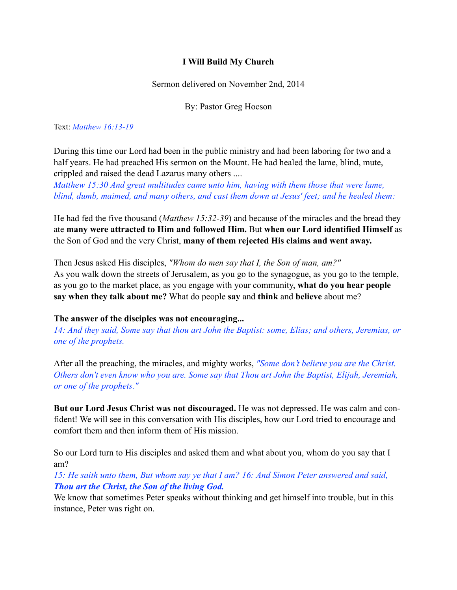## **I Will Build My Church**

Sermon delivered on November 2nd, 2014

By: Pastor Greg Hocson

### Text: *Matthew 16:13-19*

During this time our Lord had been in the public ministry and had been laboring for two and a half years. He had preached His sermon on the Mount. He had healed the lame, blind, mute, crippled and raised the dead Lazarus many others ....

*Matthew 15:30 And great multitudes came unto him, having with them those that were lame, blind, dumb, maimed, and many others, and cast them down at Jesus' feet; and he healed them:* 

He had fed the five thousand (*Matthew 15:32-39*) and because of the miracles and the bread they ate **many were attracted to Him and followed Him.** But **when our Lord identified Himself** as the Son of God and the very Christ, **many of them rejected His claims and went away.**

Then Jesus asked His disciples, *"Whom do men say that I, the Son of man, am?"* As you walk down the streets of Jerusalem, as you go to the synagogue, as you go to the temple, as you go to the market place, as you engage with your community, **what do you hear people say when they talk about me?** What do people **say** and **think** and **believe** about me?

### **The answer of the disciples was not encouraging...**

*14: And they said, Some say that thou art John the Baptist: some, Elias; and others, Jeremias, or one of the prophets.* 

After all the preaching, the miracles, and mighty works, *"Some don't believe you are the Christ. Others don't even know who you are. Some say that Thou art John the Baptist, Elijah, Jeremiah, or one of the prophets."* 

**But our Lord Jesus Christ was not discouraged.** He was not depressed. He was calm and confident! We will see in this conversation with His disciples, how our Lord tried to encourage and comfort them and then inform them of His mission.

So our Lord turn to His disciples and asked them and what about you, whom do you say that I am?

*15: He saith unto them, But whom say ye that I am? 16: And Simon Peter answered and said, Thou art the Christ, the Son of the living God.*

We know that sometimes Peter speaks without thinking and get himself into trouble, but in this instance, Peter was right on.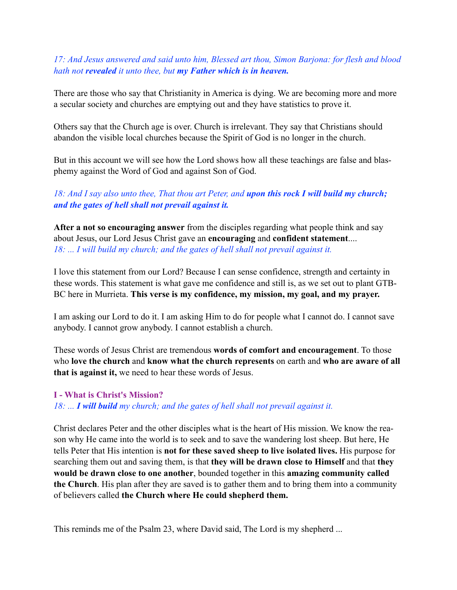## *17: And Jesus answered and said unto him, Blessed art thou, Simon Barjona: for flesh and blood hath not revealed it unto thee, but my Father which is in heaven.*

There are those who say that Christianity in America is dying. We are becoming more and more a secular society and churches are emptying out and they have statistics to prove it.

Others say that the Church age is over. Church is irrelevant. They say that Christians should abandon the visible local churches because the Spirit of God is no longer in the church.

But in this account we will see how the Lord shows how all these teachings are false and blasphemy against the Word of God and against Son of God.

## *18: And I say also unto thee, That thou art Peter, and upon this rock I will build my church; and the gates of hell shall not prevail against it.*

**After a not so encouraging answer** from the disciples regarding what people think and say about Jesus, our Lord Jesus Christ gave an **encouraging** and **confident statement**.... 18: ... I will build my church; and the gates of hell shall not prevail against it.

I love this statement from our Lord? Because I can sense confidence, strength and certainty in these words. This statement is what gave me confidence and still is, as we set out to plant GTB-BC here in Murrieta. **This verse is my confidence, my mission, my goal, and my prayer.**

I am asking our Lord to do it. I am asking Him to do for people what I cannot do. I cannot save anybody. I cannot grow anybody. I cannot establish a church.

These words of Jesus Christ are tremendous **words of comfort and encouragement**. To those who **love the church** and **know what the church represents** on earth and **who are aware of all that is against it,** we need to hear these words of Jesus.

### **I - What is Christ's Mission?**

*18: ... I will build my church; and the gates of hell shall not prevail against it.*

Christ declares Peter and the other disciples what is the heart of His mission. We know the reason why He came into the world is to seek and to save the wandering lost sheep. But here, He tells Peter that His intention is **not for these saved sheep to live isolated lives.** His purpose for searching them out and saving them, is that **they will be drawn close to Himself** and that **they would be drawn close to one another**, bounded together in this **amazing community called the Church**. His plan after they are saved is to gather them and to bring them into a community of believers called **the Church where He could shepherd them.**

This reminds me of the Psalm 23, where David said, The Lord is my shepherd ...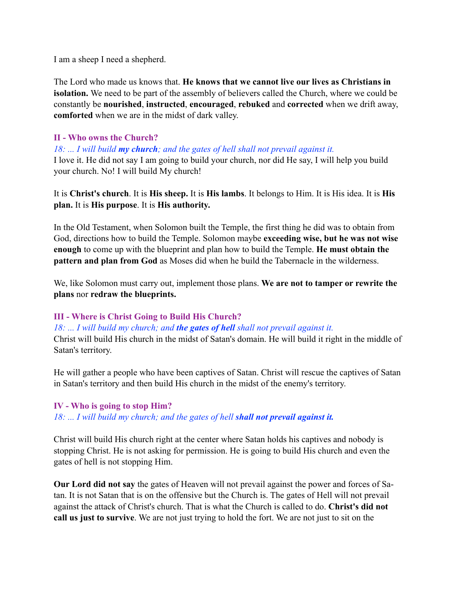I am a sheep I need a shepherd.

The Lord who made us knows that. **He knows that we cannot live our lives as Christians in isolation.** We need to be part of the assembly of believers called the Church, where we could be constantly be **nourished**, **instructed**, **encouraged**, **rebuked** and **corrected** when we drift away, **comforted** when we are in the midst of dark valley.

## **II - Who owns the Church?**

*18: ... I will build my church; and the gates of hell shall not prevail against it.*

I love it. He did not say I am going to build your church, nor did He say, I will help you build your church. No! I will build My church!

It is **Christ's church**. It is **His sheep.** It is **His lambs**. It belongs to Him. It is His idea. It is **His plan.** It is **His purpose**. It is **His authority.**

In the Old Testament, when Solomon built the Temple, the first thing he did was to obtain from God, directions how to build the Temple. Solomon maybe **exceeding wise, but he was not wise enough** to come up with the blueprint and plan how to build the Temple. **He must obtain the pattern and plan from God** as Moses did when he build the Tabernacle in the wilderness.

We, like Solomon must carry out, implement those plans. **We are not to tamper or rewrite the plans** nor **redraw the blueprints.**

## **III - Where is Christ Going to Build His Church?**

*18: ... I will build my church; and the gates of hell shall not prevail against it.*

Christ will build His church in the midst of Satan's domain. He will build it right in the middle of Satan's territory.

He will gather a people who have been captives of Satan. Christ will rescue the captives of Satan in Satan's territory and then build His church in the midst of the enemy's territory.

### **IV - Who is going to stop Him?**

18: ... I will build my church; and the gates of hell **shall not prevail against it.** 

Christ will build His church right at the center where Satan holds his captives and nobody is stopping Christ. He is not asking for permission. He is going to build His church and even the gates of hell is not stopping Him.

**Our Lord did not say** the gates of Heaven will not prevail against the power and forces of Satan. It is not Satan that is on the offensive but the Church is. The gates of Hell will not prevail against the attack of Christ's church. That is what the Church is called to do. **Christ's did not call us just to survive**. We are not just trying to hold the fort. We are not just to sit on the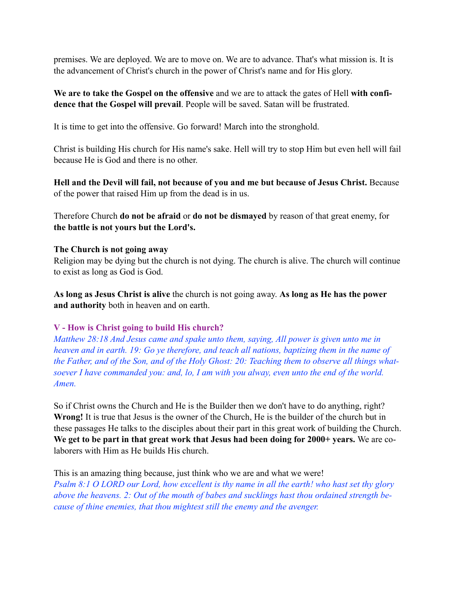premises. We are deployed. We are to move on. We are to advance. That's what mission is. It is the advancement of Christ's church in the power of Christ's name and for His glory.

**We are to take the Gospel on the offensive** and we are to attack the gates of Hell **with confidence that the Gospel will prevail**. People will be saved. Satan will be frustrated.

It is time to get into the offensive. Go forward! March into the stronghold.

Christ is building His church for His name's sake. Hell will try to stop Him but even hell will fail because He is God and there is no other.

**Hell and the Devil will fail, not because of you and me but because of Jesus Christ.** Because of the power that raised Him up from the dead is in us.

Therefore Church **do not be afraid** or **do not be dismayed** by reason of that great enemy, for **the battle is not yours but the Lord's.**

## **The Church is not going away**

Religion may be dying but the church is not dying. The church is alive. The church will continue to exist as long as God is God.

**As long as Jesus Christ is alive** the church is not going away. **As long as He has the power and authority** both in heaven and on earth.

# **V - How is Christ going to build His church?**

*Matthew 28:18 And Jesus came and spake unto them, saying, All power is given unto me in heaven and in earth. 19: Go ye therefore, and teach all nations, baptizing them in the name of the Father, and of the Son, and of the Holy Ghost: 20: Teaching them to observe all things whatsoever I have commanded you: and, lo, I am with you alway, even unto the end of the world. Amen.* 

So if Christ owns the Church and He is the Builder then we don't have to do anything, right? **Wrong!** It is true that Jesus is the owner of the Church, He is the builder of the church but in these passages He talks to the disciples about their part in this great work of building the Church. **We get to be part in that great work that Jesus had been doing for 2000+ years.** We are colaborers with Him as He builds His church.

This is an amazing thing because, just think who we are and what we were! *Psalm 8:1 O LORD our Lord, how excellent is thy name in all the earth! who hast set thy glory above the heavens. 2: Out of the mouth of babes and sucklings hast thou ordained strength because of thine enemies, that thou mightest still the enemy and the avenger.*